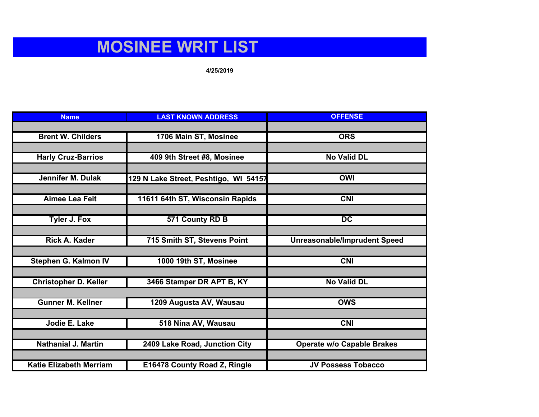## **MOSINEE WRIT LIST**

## **4/25/2019**

| <b>Name</b>                    | <b>LAST KNOWN ADDRESS</b>             | <b>OFFENSE</b>                      |
|--------------------------------|---------------------------------------|-------------------------------------|
|                                |                                       |                                     |
| <b>Brent W. Childers</b>       | 1706 Main ST, Mosinee                 | <b>ORS</b>                          |
|                                |                                       |                                     |
| <b>Harly Cruz-Barrios</b>      | 409 9th Street #8, Mosinee            | <b>No Valid DL</b>                  |
|                                |                                       |                                     |
| <b>Jennifer M. Dulak</b>       | 129 N Lake Street, Peshtigo, WI 54157 | <b>OWI</b>                          |
|                                |                                       |                                     |
| <b>Aimee Lea Feit</b>          | 11611 64th ST, Wisconsin Rapids       | <b>CNI</b>                          |
|                                |                                       |                                     |
| <b>Tyler J. Fox</b>            | 571 County RD B                       | $\overline{DC}$                     |
|                                |                                       |                                     |
| <b>Rick A. Kader</b>           | 715 Smith ST, Stevens Point           | <b>Unreasonable/Imprudent Speed</b> |
|                                |                                       |                                     |
| Stephen G. Kalmon IV           | 1000 19th ST, Mosinee                 | <b>CNI</b>                          |
|                                |                                       |                                     |
| <b>Christopher D. Keller</b>   | 3466 Stamper DR APT B, KY             | <b>No Valid DL</b>                  |
|                                |                                       |                                     |
| <b>Gunner M. Kellner</b>       | 1209 Augusta AV, Wausau               | <b>OWS</b>                          |
|                                |                                       |                                     |
| Jodie E. Lake                  | 518 Nina AV, Wausau                   | $\overline{\text{CN}}$              |
|                                |                                       |                                     |
| <b>Nathanial J. Martin</b>     | 2409 Lake Road, Junction City         | <b>Operate w/o Capable Brakes</b>   |
|                                |                                       |                                     |
| <b>Katie Elizabeth Merriam</b> | E16478 County Road Z, Ringle          | <b>JV Possess Tobacco</b>           |